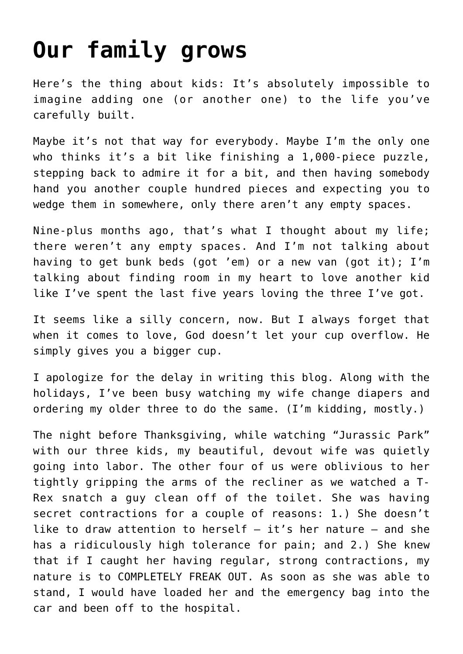## **[Our family grows](https://www.teachingcatholickids.com/our-family-grows/)**

Here's the thing about kids: It's absolutely impossible to imagine adding one (or another one) to the life you've carefully built.

Maybe it's not that way for everybody. Maybe I'm the only one who thinks it's a bit like finishing a 1,000-piece puzzle, stepping back to admire it for a bit, and then having somebody hand you another couple hundred pieces and expecting you to wedge them in somewhere, only there aren't any empty spaces.

Nine-plus months ago, that's what I thought about my life; there weren't any empty spaces. And I'm not talking about having to get bunk beds (got 'em) or a new van (got it); I'm talking about finding room in my heart to love another kid like I've spent the last five years loving the three I've got.

It seems like a silly concern, now. But I always forget that when it comes to love, God doesn't let your cup overflow. He simply gives you a bigger cup.

I apologize for the delay in writing this blog. Along with the holidays, I've been busy watching my wife change diapers and ordering my older three to do the same. (I'm kidding, mostly.)

The night before Thanksgiving, while watching "Jurassic Park" with our three kids, my beautiful, devout wife was quietly going into labor. The other four of us were oblivious to her tightly gripping the arms of the recliner as we watched a T-Rex snatch a guy clean off of the toilet. She was having secret contractions for a couple of reasons: 1.) She doesn't like to draw attention to herself — it's her nature — and she has a ridiculously high tolerance for pain; and 2.) She knew that if I caught her having regular, strong contractions, my nature is to COMPLETELY FREAK OUT. As soon as she was able to stand, I would have loaded her and the emergency bag into the car and been off to the hospital.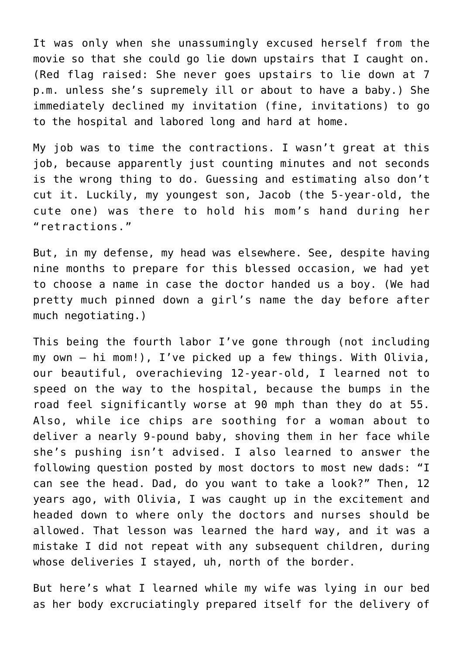It was only when she unassumingly excused herself from the movie so that she could go lie down upstairs that I caught on. (Red flag raised: She never goes upstairs to lie down at 7 p.m. unless she's supremely ill or about to have a baby.) She immediately declined my invitation (fine, invitations) to go to the hospital and labored long and hard at home.

My job was to time the contractions. I wasn't great at this job, because apparently just counting minutes and not seconds is the wrong thing to do. Guessing and estimating also don't cut it. Luckily, my youngest son, Jacob (the 5-year-old, the cute one) was there to hold his mom's hand during her "retractions."

But, in my defense, my head was elsewhere. See, despite having nine months to prepare for this blessed occasion, we had yet to choose a name in case the doctor handed us a boy. (We had pretty much pinned down a girl's name the day before after much negotiating.)

This being the fourth labor I've gone through (not including my own — hi mom!), I've picked up a few things. With Olivia, our beautiful, overachieving 12-year-old, I learned not to speed on the way to the hospital, because the bumps in the road feel significantly worse at 90 mph than they do at 55. Also, while ice chips are soothing for a woman about to deliver a nearly 9-pound baby, shoving them in her face while she's pushing isn't advised. I also learned to answer the following question posted by most doctors to most new dads: "I can see the head. Dad, do you want to take a look?" Then, 12 years ago, with Olivia, I was caught up in the excitement and headed down to where only the doctors and nurses should be allowed. That lesson was learned the hard way, and it was a mistake I did not repeat with any subsequent children, during whose deliveries I stayed, uh, north of the border.

But here's what I learned while my wife was lying in our bed as her body excruciatingly prepared itself for the delivery of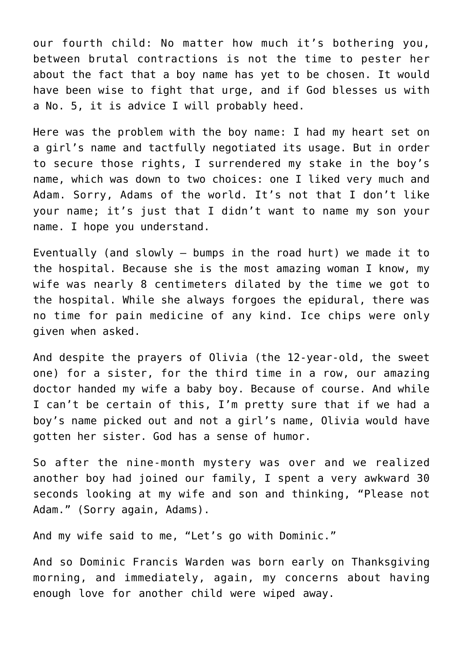our fourth child: No matter how much it's bothering you, between brutal contractions is not the time to pester her about the fact that a boy name has yet to be chosen. It would have been wise to fight that urge, and if God blesses us with a No. 5, it is advice I will probably heed.

Here was the problem with the boy name: I had my heart set on a girl's name and tactfully negotiated its usage. But in order to secure those rights, I surrendered my stake in the boy's name, which was down to two choices: one I liked very much and Adam. Sorry, Adams of the world. It's not that I don't like your name; it's just that I didn't want to name my son your name. I hope you understand.

Eventually (and slowly — bumps in the road hurt) we made it to the hospital. Because she is the most amazing woman I know, my wife was nearly 8 centimeters dilated by the time we got to the hospital. While she always forgoes the epidural, there was no time for pain medicine of any kind. Ice chips were only given when asked.

And despite the prayers of Olivia (the 12-year-old, the sweet one) for a sister, for the third time in a row, our amazing doctor handed my wife a baby boy. Because of course. And while I can't be certain of this, I'm pretty sure that if we had a boy's name picked out and not a girl's name, Olivia would have gotten her sister. God has a sense of humor.

So after the nine-month mystery was over and we realized another boy had joined our family, I spent a very awkward 30 seconds looking at my wife and son and thinking, "Please not Adam." (Sorry again, Adams).

And my wife said to me, "Let's go with Dominic."

And so Dominic Francis Warden was born early on Thanksgiving morning, and immediately, again, my concerns about having enough love for another child were wiped away.